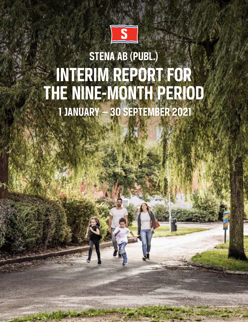

# **STENA AB (PUBL.) INTERIM REPORT FOR THE NINE-MONTH PERIOD 1 JANUARY — 30 SEPTEMBER 2021**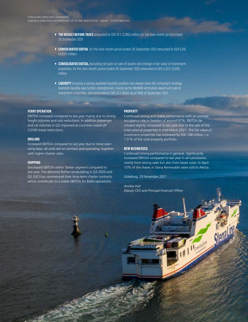- **• THE RESULT BEFORE TAXES** amounted to SEK 12 (–3,385) million for the nine-month period ended 30 September 2021.
- **• CONSOLIDATED EBITDA** for the nine-month period ended 30 September 2021 amounted to SEK 6,116 (4,837) million.
- **CONSOLIDATED EBITDA,** excluding net gain on sale of assets and change in fair value of investment properties, for the nine-month period ended 30 September 2021 amounted to SEK 5,022 (3,918) million.
- **• LIQUIDITY** Ensuring a strong available liquidity position has always been the company's strategy. Available liquidity was further strengthened, mainly by the MidMAX arbitration award and sale of investment properties, and amounted to SEK 22.1 billion as of 30th of September 2021.

#### **FERRY OPERATION**

EBITDA increased compared to last year mainly due to strong freight volumes and cost reductions. In addition passenger and car volumes in Q3 improved as countries eased off COVID travel restrictions.

#### **DRILLING**

Increased EBITDA compared to last year due to more operating days, all units are on contract and operating, together with higher charter rates.

#### **SHIPPING**

**2**

Decreased EBITDA within Tanker segment compared to last year. The delivered RoPax newbuilding in Q3 2020 and Q2 2021has commenced their long-term charter contracts which contributes to a stable EBITDA for RoRo operations.

#### **PROPERTY**

Continued strong and stable performance with an average occupancy rate in Sweden of around 97%. EBITDA decreased slightly compared to last year due to the sale of the international properties in mid-March 2021. The fair value of investment properties has increased by SEK 748 million, i.e. 1.9 % of the total property portfolio.

#### **NEW BUSINESSES**

Continued strong performance in general. Significantly increased EBITDA compared to last year in all subsidiaries, mainly from strong sales but also from lower costs. In April 15% of the shares in Stena Renewable were sold to Alecta.

*Göteborg, 29 November 2021*

*Annika Hult Deputy CEO and Principal Financial Officer*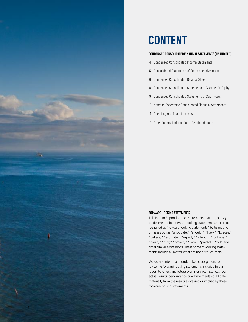

# **CONTENT**

#### **CONDENSED CONSOLIDATED FINANCIAL STATEMENTS (UNAUDITED)**

- 4 Condensed Consolidated Income Statements
- 5 Consolidated Statements of Comprehensive Income
- 6 Condensed Consolidated Balance Sheet
- 8 Condensed Consolidated Statements of Changes in Equity
- 9 Condensed Consolidated Statements of Cash Flows
- 10 Notes to Condensed Consolidated Financial Statements
- 14 Operating and financial review
- 19 Other financial information Restricted group

#### **FORWARD-LOOKING STATEMENTS**

This Interim Report includes statements that are, or may be deemed to be, forward-looking statements and can be identified as "forward-looking statements" by terms and phrases such as "anticipate," "should," "likely," "foresee," "believe," "estimate," "expect," "intend," "continue," "could," "may," "project," "plan," "predict," "will" and other similar expressions. These forward-looking statements include all matters that are not historical facts.

We do not intend, and undertake no obligation, to revise the forward-looking statements included in this report to reflect any future events or circumstances. Our actual results, performance or achievements could differ materially from the results expressed or implied by these forward-looking statements.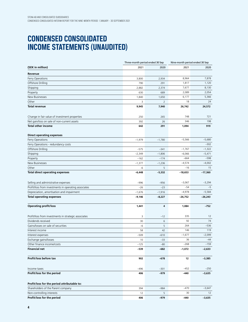## **CONDENSED CONSOLIDATED INCOME STATEMENTS (UNAUDITED)**

|                                                      | Three-month period ended 30 Sep |                | Nine-month period ended 30 Sep |                   |  |
|------------------------------------------------------|---------------------------------|----------------|--------------------------------|-------------------|--|
| (SEK in million)                                     | 2021                            | 2020           | 2021                           | 2020              |  |
| Revenue                                              |                                 |                |                                |                   |  |
| Ferry Operations                                     | 3,800                           | 2,934          | 8,964                          | 7,878             |  |
| Offshore Drilling                                    | 790                             | 291            | 1,817                          | 1,120             |  |
| Shipping                                             | 2,882                           | 2,374          | 7,677                          | 8,130             |  |
| Property                                             | 630                             | 689            | 2,089                          | 2,054             |  |
| New Businesses                                       | 1,840                           | 1,650          | 6,177                          | 5,366             |  |
| Other                                                | 3                               | $\overline{2}$ | 18                             | 24                |  |
| <b>Total revenue</b>                                 | 9,945                           | 7,940          | 26,742                         | 24,572            |  |
| Change in fair value of investment properties        | 250                             | 265            | 748                            | 721               |  |
| Net gain/loss on sale of non-current assets          | 392                             | 26             | 346                            | 198               |  |
| <b>Total other income</b>                            | 642                             | 291            | 1,094                          | 919               |  |
| <b>Direct operating expenses</b>                     |                                 |                |                                |                   |  |
| Ferry Operations                                     | $-1,979$                        | $-1,780$       | $-5,566$                       | $-5,680$          |  |
| Ferry Operations - redundancy costs                  |                                 |                |                                | $-302$            |  |
| Offshore Drilling                                    | $-575$                          | $-341$         | $-1,767$                       | $-1,322$          |  |
| Shipping                                             | $-2,349$                        | $-1,806$       | $-6,066$                       | $-5,471$          |  |
| Property                                             | $-162$                          | $-174$         | $-664$                         | $-598$            |  |
| New Businesses                                       | $-1,377$                        | $-1,236$       | $-4,574$                       | $-4,002$          |  |
| Other                                                | -6                              | 5              | $-16$                          | 15                |  |
| <b>Total direct operating expenses</b>               | $-6,448$                        | $-5,332$       | $-18,653$                      | $-17,360$         |  |
|                                                      |                                 |                |                                |                   |  |
| Selling and administrative expenses                  | $-996$                          | $-956$         | $-3,067$                       | $-3,294$          |  |
| Profit/loss from investments in operating associates | $-26$                           | $-23$          | $-54$                          | $-5$              |  |
| Depreciation, amortisation and impairment            | $-1,676$                        | $-1,916$       | $-4,978$                       | $-5,584$          |  |
| <b>Total operating expenses</b>                      | $-9,146$                        | $-8,227$       | $-26,752$                      | $-26,243$         |  |
| <b>Operating profit/loss</b>                         | 1,441                           | 4              | 1,084                          | $-752$            |  |
|                                                      |                                 |                |                                |                   |  |
| Profit/loss from investments in strategic associates | 3                               | $-12$          | 335                            | 12                |  |
| Dividends received                                   | 30                              | 6              | 92                             | 74                |  |
| Gains/losses on sale of securities                   | $-6$                            | 5              | 264                            | $-536$            |  |
| Interest income                                      | 58                              | 42             | 146                            | 119               |  |
| Interest expenses                                    | $-509$                          | $-610$         | $-1,677$<br>36                 | $-2,099$<br>$-44$ |  |
| Exchange gains/losses                                | 10                              | $-33$          | $-268$                         | $-159$            |  |
| Other finance income/costs<br><b>Financial net</b>   | $-125$                          | $-80$          |                                |                   |  |
|                                                      | $-539$                          | $-682$         | $-1,072$                       | $-2,633$          |  |
| Profit/loss before tax                               | 902                             | $-678$         | 12                             | $-3,385$          |  |
| Income taxes                                         | $-496$                          | $-301$         | $-452$                         | $-250$            |  |
| Profit/loss for the period                           | 406                             | $-979$         | $-440$                         | $-3,635$          |  |
| Profit/loss for the period attributable to:          |                                 |                |                                |                   |  |
| Shareholders of the Parent company                   | 394                             | $-984$         | $-470$                         | $-3,647$          |  |
| Non-controlling interests                            | 12                              | 5              | 30                             | 12                |  |
| Profit/loss for the period                           | 406                             | $-979$         | $-440$                         | $-3,635$          |  |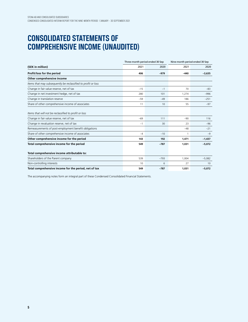# **CONSOLIDATED STATEMENTS OF COMPREHENSIVE INCOME (UNAUDITED)**

|                                                               | Three-month period ended 30 Sep |        | Nine-month period ended 30 Sep |          |  |
|---------------------------------------------------------------|---------------------------------|--------|--------------------------------|----------|--|
| (SEK in million)                                              | 2021                            | 2020   | 2021                           | 2020     |  |
| Profit/loss for the period                                    | 406                             | $-979$ | $-440$                         | $-3,635$ |  |
| Other comprehensive income                                    |                                 |        |                                |          |  |
| Items that may subsequently be reclassified to profit or loss |                                 |        |                                |          |  |
| Change in fair value reserve, net of tax                      | $-15$                           | $-1$   | 70                             | $-83$    |  |
| Change in net investment hedge, net of tax                    | 280                             | 101    | 1,274                          | $-996$   |  |
| Change in translation reserve                                 | $-59$                           | $-49$  | 186                            | $-251$   |  |
| Share of other comprehensive income of associates             | 11                              | 10     | 55                             | $-97$    |  |
| Items that will not be reclassified to profit or loss         |                                 |        |                                |          |  |
| Change in fair value reserve, net of tax                      | $-69$                           | 111    | $-90$                          | 116      |  |
| Change in revaluation reserve, net of tax                     | $-1$                            | 30     | 23                             | $-96$    |  |
| Remeasurements of post-employment benefit obligations         |                                 |        | $-48$                          | $-21$    |  |
| Share of other comprehensive income of associates             | $-4$                            | $-10$  | $\overline{1}$                 | $-9$     |  |
| Other comprehensive income for the period                     | 143                             | 192    | 1,471                          | $-1,437$ |  |
| Total comprehensive income for the period                     | 549                             | $-787$ | 1,031                          | $-5,072$ |  |
| Total comprehensive income attributable to:                   |                                 |        |                                |          |  |
| Shareholders of the Parent company                            | 539                             | $-793$ | 1.004                          | $-5,082$ |  |
| Non-controlling interests                                     | 10                              | 6      | 27                             | 10       |  |
| Total comprehensive income for the period, net of tax         | 549                             | $-787$ | 1,031                          | $-5,072$ |  |

The accompanying notes form an integral part of these Condensed Consolidated Financial Statements.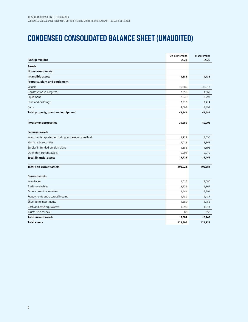# **CONDENSED CONSOLIDATED BALANCE SHEET (UNAUDITED)**

|                                                     | 30 September | 31 December |
|-----------------------------------------------------|--------------|-------------|
| (SEK in million)                                    | 2021         | 2020        |
| <b>Assets</b>                                       |              |             |
| Non-current assets                                  |              |             |
| Intangible assets                                   | 4,685        | 4,731       |
| Property, plant and equipment                       |              |             |
| Vessels                                             | 36,680       | 36,012      |
| Construction in progress                            | 2,695        | 1,869       |
| Equipment                                           | 2,648        | 2,797       |
| Land and buildings                                  | 2,318        | 2,414       |
| Ports                                               | 4,508        | 4,497       |
| Total property, plant and equipment                 | 48,849       | 47,589      |
| <b>Investment properties</b>                        | 39,659       | 40,902      |
| <b>Financial assets</b>                             |              |             |
| Investments reported according to the equity method | 3,739        | 3,556       |
| Marketable securities                               | 4,012        | 3,363       |
| Surplus in funded pension plans                     | 1,383        | 1,195       |
| Other non-current assets                            | 6,594        | 5,348       |
| <b>Total financial assets</b>                       | 15,728       | 13,462      |
| <b>Total non-current assets</b>                     | 108,921      | 106,684     |
| <b>Current assets</b>                               |              |             |
| Inventories                                         | 1,515        | 1,080       |
| Trade receivables                                   | 3,774        | 2,867       |
| Other current receivables                           | 2,641        | 5,591       |
| Prepayments and accrued income                      | 1,789        | 1,487       |
| Short-term investments                              | 1,689        | 1,752       |
| Cash and cash equivalents                           | 1,896        | 1,814       |
| Assets held for sale                                | 80           | 658         |
| <b>Total current assets</b>                         | 13,384       | 15,249      |
| <b>Total assets</b>                                 | 122,305      | 121,933     |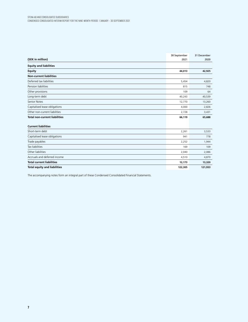|                                      | 30 September | 31 December |
|--------------------------------------|--------------|-------------|
| (SEK in million)                     | 2021         | 2020        |
| <b>Equity and liabilities</b>        |              |             |
| <b>Equity</b>                        | 44,013       | 42,925      |
| <b>Non-current liabilities</b>       |              |             |
| Deferred tax liabilities             | 5,454        | 4,820       |
| Pension liabilities                  | 815          | 748         |
| Other provisions                     | 109          | 64          |
| Long-term debt                       | 40,243       | 40,539      |
| <b>Senior Notes</b>                  | 12,770       | 13,260      |
| Capitalised lease obligations        | 4,000        | 2,826       |
| Other non-current liabilities        | 2,728        | 3,431       |
| <b>Total non-current liabilities</b> | 66,119       | 65,688      |
| <b>Current liabilities</b>           |              |             |
| Short-term debt                      | 2,261        | 3,533       |
| Capitalised lease obligations        | 941          | 778         |
| Trade payables                       | 2,252        | 1,944       |
| <b>Tax liabilities</b>               | 169          | 109         |
| Other liabilities                    | 2,040        | 2,086       |
| Accruals and deferred income         | 4,510        | 4,870       |
| <b>Total current liabilities</b>     | 12,173       | 13,320      |
| <b>Total equity and liabilities</b>  | 122,305      | 121,933     |

The accompanying notes form an integral part of these Condensed Consolidated Financial Statements.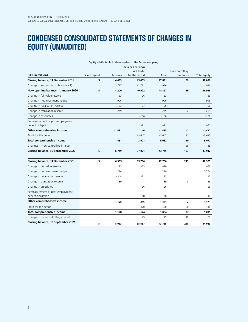# **CONDENSED CONSOLIDATED STATEMENTS OF CHANGES IN EQUITY (UNAUDITED)**

|                                                        |               | Equity attributable to shareholders of the Parent company |                |          |                 |                     |
|--------------------------------------------------------|---------------|-----------------------------------------------------------|----------------|----------|-----------------|---------------------|
|                                                        |               | Retained earnings                                         |                |          |                 |                     |
|                                                        |               |                                                           | incl. Profit   |          | Non-controlling |                     |
| (SEK in million)                                       | Share capital | Reserves                                                  | for the period | Total    | interests       | <b>Total equity</b> |
| Closing balance, 31 December 2019                      | 5             | 4,483                                                     | 43,403         | 47,891   | 159             | 48,050              |
| Change in accounting policy (note 2)                   |               | 3,717                                                     | $-2.781$       | 936      |                 | 936                 |
| New opening balance, 1 January 2020                    | 5             | 8,200                                                     | 40,622         | 48,827   | 159             | 48,986              |
| Change in fair value reserve                           |               | $-63$                                                     | 96             | 33       |                 | 33                  |
| Change in net investment hedge                         |               | $-996$                                                    |                | $-996$   |                 | -996                |
| Change in revaluation reserve                          |               | $-173$                                                    | 77             | $-96$    |                 | $-96$               |
| Change in translation reserve                          |               | $-249$                                                    |                | $-249$   | $-2$            | $-251$              |
| Change in associates                                   |               |                                                           | $-106$         | $-106$   |                 | $-106$              |
| Remeasurement of post-employment                       |               |                                                           |                |          |                 |                     |
| benefit obligation                                     |               |                                                           | $-21$          | $-21$    |                 | $-21$               |
| Other comprehensive income                             |               | $-1,481$                                                  | 46             | $-1.435$ | $-2$            | $-1,437$            |
| Profit for the period                                  |               |                                                           | $-3,647$       | $-3,647$ | 12              | $-3,635$            |
| Total comprehensive income                             |               | $-1,481$                                                  | $-3,601$       | $-5,082$ | 10              | $-5,072$            |
| Changes in non-controlling interest                    |               |                                                           |                |          | 28              | 28                  |
| Closing balance, 30 September 2020                     | 5             | 6,719                                                     | 37,021         | 43,745   | 197             | 43,942              |
| Closing balance, 31 December 2020                      | 5             | 6,935                                                     | 35,766         | 42,706   | 219             | 42,925              |
| Change in fair value reserve                           |               | 13                                                        | $-33$          | $-20$    |                 | $-20$               |
| Change in net investment hedge                         |               | 1,274                                                     |                | 1,274    |                 | 1,274               |
| Change in revaluation reserve                          |               | $-348$                                                    | 371            | 23       |                 | 23                  |
| Change in translation reserve                          |               | 189                                                       |                | 189      | $-3$            | 186                 |
| Change in associates                                   |               |                                                           | 56             | 56       |                 | 56                  |
| Remeasurement of post-employment<br>benefit obligation |               |                                                           | $-48$          | $-48$    |                 | -48                 |
| Other comprehensive income                             |               | 1,128                                                     | 346            | 1,474    | $-3$            | 1,471               |
| Profit for the period                                  |               |                                                           | $-470$         | $-470$   | 30              | -440                |
| Total comprehensive income                             |               | 1,128                                                     | $-124$         | 1,004    | 27              | 1,031               |
| Changes in non-controlling interest                    |               |                                                           | 45             | 45       | 12              | 57                  |
| Closing balance, 30 September 2021                     | 5             | 8,063                                                     | 35,687         | 43,755   | 258             | 44,013              |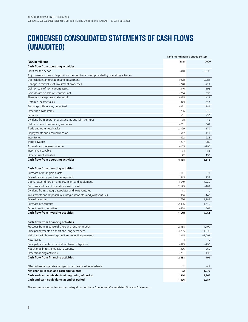## **CONDENSED CONSOLIDATED STATEMENTS OF CASH FLOWS (UNAUDITED)**

|                                                                                            |          | Nine-month period ended 30 Sep |
|--------------------------------------------------------------------------------------------|----------|--------------------------------|
| (SEK in million)                                                                           | 2021     | 2020                           |
| Cash flow from operating activities                                                        |          |                                |
| Profit for the period                                                                      | $-440$   | $-3,635$                       |
| Adjustments to reconcile profit for the year to net cash provided by operating activities: |          |                                |
| Depreciation, amortisation and impairment                                                  | 4,978    | 5,584                          |
| Change in fair value of investment properties                                              | $-748$   | $-721$                         |
| Gain on sale of non-current assets                                                         | $-346$   | -198                           |
| Gains/losses on sale of securities net                                                     | $-264$   | 536                            |
| Share of strategic associates result                                                       | $-335$   | $-12$                          |
| Deferred income taxes                                                                      | 323      | 322                            |
| Exchange differences, unrealised                                                           | $-352$   | 784                            |
| Other non-cash items                                                                       | 236      | 275                            |
| Pensions                                                                                   | $-51$    | $-30$                          |
| Dividend from operational associates and joint ventures                                    | 78       | 46                             |
| Net cash flow from trading securities                                                      | $-201$   | 561                            |
| Trade and other receivables                                                                | 2,129    | $-179$                         |
| Prepayments and accrued income                                                             | $-517$   | 417                            |
| Inventories                                                                                | $-422$   | 225                            |
| Trade payables                                                                             | 287      | $-380$                         |
| Accruals and deferred income                                                               | $-165$   | $-190$                         |
| Income tax payable                                                                         | $-74$    | $-85$                          |
| Other current liabilities                                                                  | 22       | 198                            |
| Cash flow from operating activities                                                        | 4,138    | 3,518                          |
| Cash flow from investing activities                                                        |          |                                |
| Purchase of intangible assets                                                              | $-111$   | $-77$                          |
| Sale of property, plant and equipment                                                      | 1,549    | 231                            |
| Capital expenditure on property, plant and equipment                                       | $-4,649$ | $-4,529$                       |
| Purchase and sale of operations, net of cash                                               | 2,195    | $-182$                         |
| Dividend from strategic associates and joint ventures                                      | 18       | 10                             |
| Investments and disposals in strategic associates and joint ventures                       | 366      | $-140$                         |
| Sale of securities                                                                         | 1,736    | 1,787                          |
| Purchase of securities                                                                     | $-2,086$ | $-1,415$                       |
| Other investing activities                                                                 | $-658$   | 564                            |
| Cash flow from investing activities                                                        | $-1,640$ | $-3,751$                       |
| <b>Cash flow from financing activities</b>                                                 |          |                                |
| Proceeds from issuance of short and long-term debt                                         | 2,388    | 14,709                         |
| Principal payments on short and long-term debt                                             | $-4,705$ | $-11,536$                      |
| Net change in borrowings on line-of-credit agreements                                      | 365      | $-3,098$                       |
| New leases                                                                                 | 4        | $\mathbf 0$                    |
| Principal payments on capitalised lease obligations                                        | $-695$   | -796                           |
| Net change in restricted cash accounts                                                     | 386      | 360                            |
| Other financing activities                                                                 | $-201$   | $-438$                         |
| Cash flow from financing activities                                                        | $-2,458$ | -799                           |
| Effect of exchange rate changes on cash and cash equivalents                               | 42       | -47                            |
| Net change in cash and cash equivalents                                                    | 82       | -1,079                         |
| Cash and cash equivalents at beginning of period                                           | 1,814    | 3,366                          |
| Cash and cash equivalents at end of period                                                 | 1,896    | 2,287                          |

The accompanying notes form an integral part of these Condensed Consolidated Financial Statements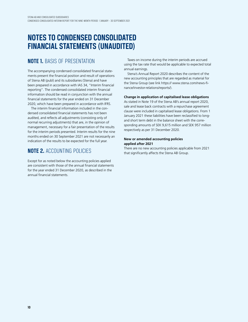## **NOTES TO CONDENSED CONSOLIDATED FINANCIAL STATEMENTS (UNAUDITED)**

### **NOTE 1.** BASIS OF PRESENTATION

The accompanying condensed consolidated financial statements present the financial position and result of operations of Stena AB (publ) and its subsidiaries (Stena) and have been prepared in accordance with IAS 34, "Interim financial reporting". The condensed consolidated interim financial information should be read in conjunction with the annual financial statements for the year ended on 31 December 2020, which have been prepared in accordance with IFRS.

The interim financial information included in the condensed consolidated financial statements has not been audited, and reflects all adjustments (consisting only of normal recurring adjustments) that are, in the opinion of management, necessary for a fair presentation of the results for the interim periods presented. Interim results for the nine months ended on 30 September 2021 are not necessarily an indication of the results to be expected for the full year.

### **NOTE 2.** ACCOUNTING POLICIES

Except for as noted below the accounting policies applied are consistent with those of the annual financial statements for the year ended 31 December 2020, as described in the annual financial statements.

Taxes on income during the interim periods are accrued using the tax rate that would be applicable to expected total annual earnings.

Stena's Annual Report 2020 describes the content of the new accounting principles that are regarded as material for the Stena Group (see link https:// www.stena.com/news-finance/investor-relations/reports/).

#### **Change in application of capitalised lease obligations**

As stated in Note 19 of the Stena AB's annual report 2020, sale and lease back contracts with a repurchase agreement clause were included in capitalised lease obligations. From 1 January 2021 these liabilities have been reclassified to longand short term debt in the balance sheet with the corresponding amounts of SEK 9,615 million and SEK 957 million respectively as per 31 December 2020.

#### **New or amended accounting policies applied after 2021**

There are no new accounting policies applicable from 2021 that significantly affects the Stena AB Group.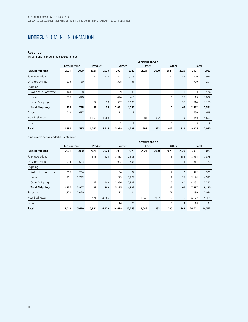### **NOTE 3.** SEGMENT INFORMATION

#### **Revenue**

Three-month period ended 30 September

|                         | <b>Construction Con-</b> |       |          |       |         |                |        |      |       |      |       |       |
|-------------------------|--------------------------|-------|----------|-------|---------|----------------|--------|------|-------|------|-------|-------|
|                         | Lease income             |       | Products |       | Service |                | tracts |      | Other |      | Total |       |
| (SEK in million)        | 2021                     | 2020  | 2021     | 2020  | 2021    | 2020           | 2021   | 2020 | 2021  | 2020 | 2021  | 2020  |
| Ferry operations        |                          |       | 272      | 170   | 3,548   | 2,716          |        |      | $-21$ | 48   | 3,800 | 2,934 |
| Offshore Drilling       | 393                      | 160   |          |       | 398     | 131            |        |      | $-1$  |      | 790   | 291   |
| Shipping:               |                          |       |          |       |         |                |        |      |       |      |       |       |
| Roll-on/Roll-off vessel | 143                      | 90    |          |       | 9       | 33             |        |      |       |      | 153   | 124   |
| Tanker                  | 636                      | 648   |          |       | 474     | 419            |        |      | 5     | 25   | 1,115 | 1,092 |
| Other Shipping          |                          |       | 57       | 38    | 1,557   | 1,083          |        |      |       | 36   | 1,614 | 1,158 |
| <b>Total Shipping</b>   | 779                      | 738   | 57       | 38    | 2,041   | 1,535          |        |      | 5     | 62   | 2,882 | 2,374 |
| Property                | 619                      | 677   |          |       | 11      | 12             |        |      |       |      | 630   | 689   |
| New Businesses          |                          |       | 1,456    | 1,308 |         |                | 381    | 332  | 3     | 9    | 1,840 | 1,650 |
| Other                   |                          |       |          |       | 2       | $\overline{2}$ |        |      |       |      | 3     | 2     |
| Total                   | 1,791                    | 1,575 | 1,785    | 1,516 | 5,999   | 4,397          | 381    | 332  | $-13$ | 119  | 9,945 | 7,940 |

Nine-month period ended 30 September

|                         | <b>Construction Con-</b> |       |          |       |         |        |        |      |                |                |        |        |
|-------------------------|--------------------------|-------|----------|-------|---------|--------|--------|------|----------------|----------------|--------|--------|
|                         | Lease income             |       | Products |       | Service |        | tracts |      | Other          |                | Total  |        |
| (SEK in million)        | 2021                     | 2020  | 2021     | 2020  | 2021    | 2020   | 2021   | 2020 | 2021           | 2020           | 2021   | 2020   |
| Ferry operations        |                          |       | 518      | 420   | 8,433   | 7,303  |        |      | 13             | 154            | 8,964  | 7,878  |
| Offshore Drilling       | 914                      | 623   |          |       | 902     | 494    |        |      |                | 3              | 1,817  | 1,120  |
| Shipping:               |                          |       |          |       |         |        |        |      |                |                |        |        |
| Roll-on/Roll-off vessel | 366                      | 234   |          |       | 54      | 84     |        |      | $\overline{2}$ | $\overline{2}$ | 422    | 320    |
| Tanker                  | 1,861                    | 2,733 |          |       | 1,295   | 1,823  |        |      | 18             | 25             | 3,174  | 4,581  |
| Other Shipping          |                          |       | 192      | 193   | 3,886   | 2,997  |        |      | 3              | 40             | 4,081  | 3,230  |
| <b>Total Shipping</b>   | 2,227                    | 2,967 | 192      | 193   | 5,235   | 4,903  |        |      | 23             | 67             | 7,677  | 8,130  |
| Property                | 1,878                    | 2,020 |          |       | 33      | 34     |        |      | 178            |                | 2,089  | 2,054  |
| New Businesses          |                          |       | 5,124    | 4,366 |         | 3      | 1,046  | 982  | 7              | 15             | 6,177  | 5,366  |
| Other                   |                          |       |          |       | 16      | 20     |        |      | 2              | 4              | 18     | 24     |
| Total                   | 5,019                    | 5,610 | 5,834    | 4,979 | 14,619  | 12,758 | 1.046  | 982  | 235            | 243            | 26,742 | 24,572 |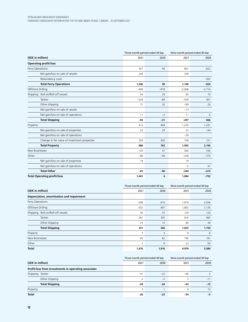|                                               | Three-month period ended 30 Sep |        | Nine-month period ended 30 Sep |          |  |
|-----------------------------------------------|---------------------------------|--------|--------------------------------|----------|--|
| (SEK in million)                              | 2021                            | 2020   | 2021                           | 2020     |  |
| <b>Operating profit/loss</b>                  |                                 |        |                                |          |  |
| Ferry Operations:                             | 927                             | 90     | 801                            | $-622$   |  |
| Net gain/loss on sale of vessels              | 339                             |        | 339                            |          |  |
| Redundancy costs                              |                                 |        |                                | $-302$   |  |
| <b>Total Ferry Operations</b>                 | 1,266                           | 90     | 1.140                          | $-924$   |  |
| Offshore Drilling                             | $-490$                          | $-818$ | $-2,068$                       | $-2,714$ |  |
| Shipping: Roll-on/Roll-off vessels            | 54                              | 29     | 85                             | 70       |  |
| Tanker                                        | $-229$                          | $-89$  | $-539$                         | 561      |  |
| Other shipping                                | 71                              | 32     | 159                            | 29       |  |
| Net gain/loss on sale of vessels              |                                 |        | $-13$                          |          |  |
| Net gain/loss on sale of operations           | 11                              | $-3$   | 11                             | 6        |  |
| <b>Total Shipping</b>                         | $-93$                           | $-31$  | $-297$                         | 666      |  |
| Property:                                     | 413                             | 468    | 1,250                          | 1,291    |  |
| Net gain/loss on sale of properties           | 23                              | 29     | 23                             | 144      |  |
| Net gain/loss on sale of operations           |                                 |        | $-28$                          |          |  |
| Change in fair value of investment properties | 250                             | 265    | 748                            | 721      |  |
| <b>Total Property</b>                         | 686                             | 762    | 1,993                          | 2,156    |  |
| New Businesses                                | 133                             | 91     | 560                            | 336      |  |
| Other:                                        | $-80$                           | $-90$  | $-258$                         | $-319$   |  |
| Net gain/loss on sale of properties           | 19                              |        | 19                             |          |  |
| Net gain/loss on sale of operations           |                                 |        | $-5$                           | 47       |  |
| <b>Total Other</b>                            | $-61$                           | $-90$  | $-244$                         | $-272$   |  |
| <b>Total Operating profit/loss</b>            | 1,441                           | 4      | 1,084                          | $-752$   |  |

|                                           | Three-month period ended 30 Sep |       | Nine-month period ended 30 Sep |       |  |
|-------------------------------------------|---------------------------------|-------|--------------------------------|-------|--|
| (SEK in million)                          | 2021                            | 2020  | 2021                           | 2020  |  |
| Depreciation, amortisation and impairment |                                 |       |                                |       |  |
| Ferry Operations                          | 638                             | 810   | 1,874                          | 2,036 |  |
| Offshore Drilling                         | 632                             | 667   | 1,852                          | 2,135 |  |
| Shipping: Roll-on/Roll-off vessels        | 45                              | 47    | 129                            | 120   |  |
| Tanker                                    | 261                             | 305   | 816                            | 985   |  |
| Other shipping                            | 25                              | 14    | 80                             | 49    |  |
| <b>Total Shipping</b>                     | 331                             | 366   | 1,025                          | 1,154 |  |
| Property                                  | 3                               | 3     | 8                              | 8     |  |
| New Businesses                            | 65                              | 62    | 196                            | 191   |  |
| Other                                     | 7                               | 8     | 23                             | 60    |  |
| <b>Total</b>                              | 1,676                           | 1,916 | 4,978                          | 5,584 |  |

|                                                      | Three-month period ended 30 Sep |       | Nine-month period ended 30 Sep |       |  |
|------------------------------------------------------|---------------------------------|-------|--------------------------------|-------|--|
| (SEK in million)                                     | 2021                            | 2020  | 2021                           | 2020  |  |
| Profit/loss from investments in operating associates |                                 |       |                                |       |  |
| Shipping: Tanker                                     | $-31$                           | $-22$ | $-66$                          |       |  |
| Other shipping                                       |                                 | $-2$  |                                | $-17$ |  |
| <b>Total Shipping</b>                                | $-29$                           | $-24$ | $-63$                          | $-15$ |  |
| Property                                             | 3                               |       | q                              | 10    |  |
| <b>Total</b>                                         | $-26$                           | $-23$ | $-54$                          | -5    |  |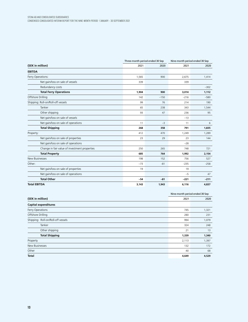|                                               | Three-month period ended 30 Sep |        | Nine-month period ended 30 Sep |        |  |
|-----------------------------------------------|---------------------------------|--------|--------------------------------|--------|--|
| (SEK in million)                              | 2021                            | 2020   | 2021                           | 2020   |  |
| <b>EBITDA</b>                                 |                                 |        |                                |        |  |
| Ferry Operations:                             | 1,565                           | 900    | 2,675                          | 1,414  |  |
| Net gain/loss on sale of vessels              | 339                             |        | 339                            |        |  |
| Redundancy costs                              |                                 |        |                                | $-302$ |  |
| <b>Total Ferry Operations</b>                 | 1,904                           | 900    | 3,014                          | 1,112  |  |
| Offshore Drilling                             | 142                             | $-150$ | $-216$                         | $-580$ |  |
| Shipping: Roll-on/Roll-off vessels            | 99                              | 76     | 214                            | 190    |  |
| Tanker                                        | 65                              | 238    | 343                            | 1,544  |  |
| Other shipping                                | 93                              | 47     | 236                            | 95     |  |
| Net gain/loss on sale of vessels              |                                 |        | $-13$                          |        |  |
| Net gain/loss on sale of operations           | 11                              | $-3$   | 11                             | 6      |  |
| <b>Total Shipping</b>                         | 268                             | 358    | 791                            | 1,835  |  |
| Property:                                     | 412                             | 470    | 1,249                          | 1,289  |  |
| Net gain/loss on sale of properties           | 23                              | 29     | 23                             | 144    |  |
| Net gain/loss on sale of operations           |                                 |        | $-28$                          |        |  |
| Change in fair value of investment properties | 250                             | 265    | 748                            | 721    |  |
| <b>Total Property</b>                         | 685                             | 764    | 1,992                          | 2,154  |  |
| <b>New Businesses</b>                         | 198                             | 152    | 756                            | 527    |  |
| Other:                                        | $-73$                           | $-81$  | $-235$                         | $-258$ |  |
| Net gain/loss on sale of properties           | 19                              |        | 19                             |        |  |
| Net gain/loss on sale of operations           |                                 |        | $-5$                           | 47     |  |
| <b>Total Other</b>                            | $-54$                           | $-81$  | $-221$                         | $-211$ |  |
| <b>Total EBITDA</b>                           | 3,143                           | 1,943  | 6,116                          | 4,837  |  |

| 2021  | 2020                           |
|-------|--------------------------------|
|       |                                |
| 745   | 1,321                          |
| 280   | 231                            |
| 994   | 1,079                          |
| 324   | 248                            |
| 21    | 13                             |
| 1,339 | 1,340                          |
| 2,113 | 1,397                          |
| 132   | 172                            |
| 40    | 68                             |
| 4,649 | 4,529                          |
|       | Nine-month period ended 30 Sep |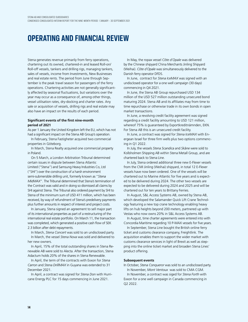### **OPERATING AND FINANCIAL REVIEW**

Stena generates revenue primarily from ferry operations, chartering out its owned, chartered-in and leased Roll-on/ Roll-off vessels, tankers and drilling rigs, managing tankers, sales of vessels, income from Investments, New Businesses and real estate rents. The period from June through September is the peak travel season for passengers of the ferry operations. Chartering activities are not generally significantly affected by seasonal fluctuations, but variations over the year may occur as a consequence of, among other things, vessel utilisation rates, dry-docking and charter rates. Any sale or acquisition of vessels, drilling rigs and real estate may also have an impact on the results of each period.

#### **Significant events of the first nine-month period of 2021**

As per 1 January the United Kingdom left the EU, which has not had a significant impact on the Stena AB Group's operation.

In February, Stena Fastigheter acquired two commercial properties in Göteborg.

In March, Stena Realty acquired one commercial property in Poland.

On 5 March, a London Arbitration Tribunal determined certain issues in dispute between Stena Atlantic Limited ("Stena") and Samsung Heavy Industries Co, Ltd ("SHI") over the construction of a harsh environment semi-submersible drilling unit, formerly known as "*Stena MidMAX*". The Tribunal determined that Stena's termination of the Contract was valid and in doing so dismissed all claims by SHI against Stena. The Tribunal also ordered payment by SHI to Stena of the minimum sum of USD 411 million, which has been received, by way of refundment of Stena's predelivery payments plus further amounts in respect of interest and project costs.

In January, Stena signed an agreement to sell major part of its international properties as part of a restructuring of the international real estate portfolio. On March 11, the transaction was completed, which generated a positive cash flow of SEK 2.3 billion after debt repayments.

In March, *Stena Concert* was sold to an undisclosed party. In March, the vessel *Stena Nova* was sold and delivered to her new owners.

In April, 15% of the total outstanding shares in Stena Renewable AB were sold to Alecta. After the transaction, Stena Adactum holds 20% of the shares in Stena Renewable.

In April, the term of the contracts with Exxon for *Stena Carron* and *Stena DrillMAX* in Guyana was extended to 31 December 2021.

In April, a contract was signed for *Stena Don* with Hurricane Energy PLC for 15 days commencing in June 2021.

In May, the ropax vessel *Côte d´Opale* was delivered by the Chinese shipyard China Merchants Jinling Shipyard (Weihai). *Côte d´Opale* was simultaneously delivered to the Danish ferry operator DFDS.

In June, contract for *Stena IceMAX* was signed with an undisclosed operator for a one well campaign (30 days) commencing in Q4 2021.

In June, the Stena AB Group repurchased USD 134 million of the USD 527 million outstanding unsecured bond maturing 2024. Stena AB and its affiliates may from time to time repurchase or otherwise trade in its own bonds in open market transactions.

In June, a revolving credit facility agreement was signed regarding a credit facility amounting to USD 121 million, whereof 75% is guaranteed by Exportkreditnämnden, EKN. For Stena AB this is an unsecured credit facility.

In June, a contract was signed for *Stena IceMAX* with Energean Israel for three firm wells plus two options commencing in Q1 2022.

In July, the vessels *Stena Scandica* and *Skåne* were sold to Kollsholmen Shipping AB within Stena Metall Group, and are chartered back to Stena Line.

In July, Stena ordered additional three new E-Flexer vessels from the CMI Jinling (Weihai) shipyard, in total 12 E-Flexer vessels have now been ordered. One of the vessels will be chartered out to Marine Atlantic for five years and is expected to be delivered during 2024. The other two vessels are expected to be delivered during 2024 and 2025 and will be chartered out for ten years to Brittany Ferries.

In August, S&L Access Systems AB, owned by Stena AB, which developed the Salamander Quick Lift Crane Technology featuring a new top crane technology enabling heavy lifts on hub heights beyond 200 meters, partnered up with Vestas who now owns 20% in S&L Access Systems AB.

In August, time charter agreements were entered into with Concordia Maritime regarding 10 P-MAX vessels for five years.

In September, Stena Line bought the British online ferry ticket and customs clearance company, Freightlink. The acquisition enables them to support the wider market with customs clearance services in light of Brexit as well as stepping into the online ticket market and broaden Stena Lines' product offering.

#### **Subsequent events**

In October, *Stena Conqueror* was sold to an undisclosed party. In November, *Mont Ventoux* was sold to CMA CGM.

In November, a contract was siged for *Stena Forth* with Exxon for a one well campaign in Canada commencing in Q2 2022.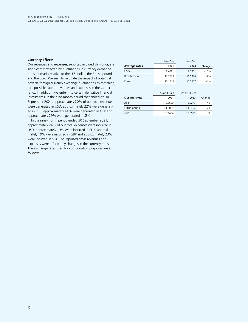#### **Currency Effects**

Our revenues and expenses, reported in Swedish kronor, are significantly affected by fluctuations in currency exchange rates, primarily relative to the U.S. dollar, the British pound and the Euro. We seek to mitigate the impact of potential adverse foreign currency exchange fluctuations by matching, to a possible extent, revenues and expenses in the same currency. In addition, we enter into certain derivative financial instruments. In the nine-month period that ended on 30 September 2021, approximately 20% of our total revenues were generated in USD, approximately 22% were generated in EUR, approximately 14% were generated in GBP and approximately 29% were generated in SEK

In the nine-month period ended 30 September 2021, approximately 24% of our total expenses were incurred in USD, approximately 19% were incurred in EUR, approximately 19% were incurred in GBP and approximately 23% were incurred in SEK. The reported gross revenues and expenses were affected by changes in the currency rates. The exchange rates used for consolidation purposes are as follows:

|                       | Jan – Sep | Jan – Sep |        |
|-----------------------|-----------|-----------|--------|
| <b>Average rates:</b> | 2021      | 2020      | Change |
| US \$                 | 8.4891    | 9.3951    | $-10%$ |
| British pound         | 11.7579   | 11.9376   | $-2%$  |
| Euro                  | 10.1515   | 10.5567   | $-4%$  |

|                       | As of 30 Sep | As of 31 Dec |        |
|-----------------------|--------------|--------------|--------|
| <b>Closing rates:</b> | 2021         | 2020         | Change |
| US <sub>5</sub>       | 8.7620       | 8.2273       | 7%     |
| British pound         | 11.8059      | 11.2467      | 5%     |
| Euro                  | 10.1464      | 10.0505      | 1%     |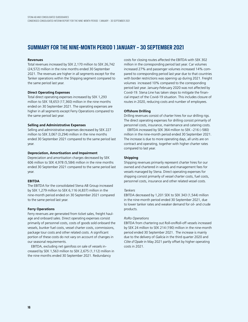### **SUMMARY FOR THE NINE-MONTH PERIOD 1 JANUARY – 30 SEPTEMBER 2021**

#### **Revenues**

Total revenues increased by SEK 2,170 million to SEK 26,742 (24,572) million in the nine months ended 30 September 2021. The revenues are higher in all segments except for the Tanker operations within the Shipping segment compared to the same period last year.

#### **Direct Operating Expenses**

Total direct operating expenses increased by SEK 1,293 million to SEK 18,653 (17,360) million in the nine months ended on 30 September 2021. The operating expenses are higher in all segments except Ferry Operations compared to the same period last year.

#### **Selling and Administrative Expenses**

Selling and administrative expenses decreased by SEK 227 million to SEK 3,067 (3,294) million in the nine months ended 30 September 2021 compared to the same period last year.

#### **Depreciation, Amortisation and Impairment**

Depreciation and amortisation charges decreased by SEK 606 million to SEK 4,978 (5,584) million in the nine months ended 30 September 2021 compared to the same period last year.

#### **EBITDA**

The EBITDA for the consolidated Stena AB Group increased by SEK 1,279 million to SEK 6,116 (4,837) million in the nine-month period ended on 30 September 2021 compared to the same period last year.

#### **Ferry Operations**

Ferry revenues are generated from ticket sales, freight haulage and onboard sales. Direct operating expenses consist primarily of personnel costs, costs of goods sold onboard the vessels, bunker fuel costs, vessel charter costs, commissions, package tour costs and other related costs. A significant portion of these costs do not vary on account of changes in our seasonal requirements.

EBITDA, excluding net gain/loss on sale of vessels increased by SEK 1,563 million to SEK 2,675 (1,112) million in the nine months ended 30 September 2021. Redundancy

costs for closing routes affected the EBITDA with SEK 302 million in the corresponding period last year. Car volumes increased 27% and passenger volumes increased 14% compared to corresponding period last year due to that countries with border restrictions was opening up during 2021. Freight volumes increased 10% compared to the corresponding period last year. January-February 2020 was not affected by Covid-19. Stena Line has taken steps to mitigate the financial impact of the Covid-19 situation. This includes closure of routes in 2020, reducing costs and number of employees.

#### **Offshore Drilling**

Drilling revenues consist of charter hires for our drilling rigs. The direct operating expenses for drilling consist primarily of personnel costs, insurance, maintenance and catering costs.

EBITDA increased by SEK 364 million to SEK –216 (–580) million in the nine-month period ended 30 September 2021. The increase is due to more operating days, all units are on contract and operating, together with higher charter rates compared to last year.

#### **Shipping**

Shipping revenues primarily represent charter hires for our owned and chartered in vessels and management fees for vessels managed by Stena. Direct operating expenses for shipping consist primarily of vessel charter costs, fuel costs, personnel costs, insurance and other related vessel costs.

#### *Tankers*

EBITDA decreased by 1,201 SEK to SEK 343 (1,544) million in the nine-month period ended 30 September 2021, due to lower tanker rates and weaker demand for oil- and crude products.

#### *RoRo Operations*

EBITDA from chartering out Roll-on/Roll-off vessels increased by SEK 24 million to SEK 214 (190) million in the nine-month period ended 30 September 2021. The increase is mainly due to the delivery of *Galicia* in the third quarter 2020 and *Côte d'Opale* in May 2021 partly offset by higher operating costs in 2021.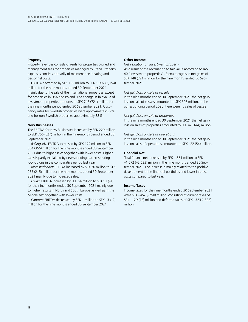#### **Property**

Property revenues consists of rents for properties owned and management fees for properties managed by Stena. Property expenses consists primarily of maintenance, heating and personnel costs.

EBITDA decreased by SEK 162 million to SEK 1,992 (2,154) million for the nine months ended 30 September 2021, mainly due to the sale of the international properties except for properties in USA and Poland. The change in fair value of investment properties amounts to SEK 748 (721) million for the nine months period ended 30 September 2021. Occupancy rates for Swedish properties were approximately 97% and for non-Swedish properties approximately 88%.

#### **New Businesses**

The EBITDA for New Businesses increased by SEK 229 million to SEK 756 (527) million in the nine-month period ended 30 September 2021.

*Ballingslöv:* EBITDA increased by SEK 179 million to SEK 534 (355) million for the nine months ended 30 September 2021 due to higher sales together with lower costs. Higher sales is partly explained by new spending patterns during lock-downs in the comparative period last year.

*Blomsterlandet:* EBITDA increased by SEK 20 million to SEK 235 (215) million for the nine months ended 30 September 2021 mainly due to increased sales.

*Envac:* EBITDA increased by SEK 54 million to SEK 53 (–1) for the nine months ended 30 September 2021 mainly due to higher results in North and South Europe as well as in the Middle east together with lower costs.

*Captum:* EBITDA decreased by SEK 1 million to SEK –3 (–2) million for the nine months ended 30 September 2021.

#### **Other Income**

#### *Net valuation on investment property*

As a result of the revaluation to fair value according to IAS 40 "Investment properties", Stena recognised net gains of SEK 748 (721) million for the nine months ended 30 September 2021.

#### *Net gain/loss on sale of vessels*

In the nine months ended 30 September 2021 the net gain/ loss on sale of vessels amounted to SEK 326 million. In the corresponding period 2020 there were no sales of vessels.

#### *Net gain/loss on sale of properties*

In the nine months ended 30 September 2021 the net gain/ loss on sales of properties amounted to SEK 42 (144) million.

#### *Net gain/loss on sale of operations*

In the nine months ended 30 September 2021 the net gain/ loss on sales of operations amounted to SEK –22 (54) million.

#### **Financial Net**

Total finance net increased by SEK 1,561 million to SEK –1,072 (–2,633) million in the nine months ended 30 September 2021. The increase is mainly related to the positive development in the financial portfolios and lower interest costs compared to last year.

#### **Income Taxes**

Income taxes for the nine months ended 30 September 2021 were SEK –452 (–250) million, consisting of current taxes of SEK –129 (72) million and deferred taxes of SEK –323 (–322) million.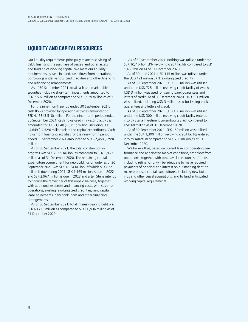### **LIQUIDITY AND CAPITAL RESOURCES**

Our liquidity requirements principally relate to servicing of debt, financing the purchase of vessels and other assets and funding of working capital. We meet our liquidity requirements by cash in hand, cash flows from operations, borrowings under various credit facilities and other financing and refinancing arrangements.

As of 30 September 2021, total cash and marketable securities including short-term investments amounted to SEK 7,597 million as compared to SEK 6,929 million as of 31 December 2020.

For the nine-month period ended 30 September 2021, cash flows provided by operating activities amounted to SEK 4,138 (3,518) million. For the nine-month period ended 30 September 2021, cash flows used in investing activities amounted to SEK –1,640 (–3,751) million, including SEK –4,649 (–4,529) million related to capital expenditures. Cash flows from financing activities for the nine-month period ended 30 September 2021 amounted to SEK –2,458 (–799) million.

As of 30 September 2021, the total construction in progress was SEK 2,695 million, as compared to SEK 1,869 million as of 31 December 2020. The remaining capital expenditure commitment for newbuildings on order as of 30 September 2021 was SEK 4,954 million, of which SEK 822 million is due during 2021, SEK 1,165 million is due in 2022 and SEK 2,967 million is due in 2023 and after. Stena intends to finance the remainder of this unpaid balance, together with additional expenses and financing costs, with cash from operations, existing revolving credit facilities, new capital lease agreements, new bank loans and other financing arrangements.

As of 30 September 2021, total interest-bearing debt was SEK 60,215 million as compared to SEK 60,936 million as of 31 December 2020.

 As of 30 September 2021, nothing was utilised under the SEK 10,7 billion EKN revolving credit facility compared to SEK 1,460 million as of 31 December 2020.

As of 30 June 2021, USD 115 million was utilised under the USD 121 million EKN revolving credit facility.

As of 30 September 2021, USD 505 million was utilised under the USD 725 million revolving credit facility of which USD 3 million was used for issuing bank guarantees and letters of credit. As of 31 December 2020, USD 531 million was utilized, including USD 3 million used for issuing bank guarantees and letters of credit.

As of 30 September 2021, USD 150 million was utilised under the USD 300 million revolving credit facility entered into by Stena Investment Luxembourg S.àr.l. compared to USD 68 million as of 31 December 2020.

As of 30 September 2021, SEK 150 million was utilised under the SEK 1,300 million revolving credit facility entered into by Adactum compared to SEK 750 million as of 31 December 2020.

We believe that, based on current levels of operating performance and anticipated market conditions, cash flow from operations, together with other available sources of funds, including refinancing, will be adequate to make required payments of principal and interest on outstanding debt, to make proposed capital expenditures, including new buildings and other vessel acquisitions, and to fund anticipated working capital requirements.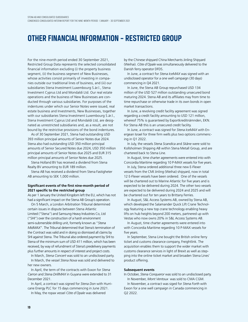### **OTHER FINANCIAL INFORMATION – RESTRICTED GROUP**

For the nine-month period ended 30 September 2021, Restricted Group Data represents the selected consolidated financial information excluding (i) the property business segment, (ii) the business segment of New Businesses, whose activities consist primarily of investing in companies outside our traditional lines of business, and (iii) our subsidiaries Stena Investment Luxembourg S.àr.l., Stena Investment Cyprus Ltd and Mondaldi Ltd. Our real estate operations and the business of New Businesses are conducted through various subsidiaries. For purposes of the indentures under which our Senior Notes were issued, real estate business and Investments, New Businesses, together with our subsidiaries Stena Investment Luxembourg S.àr.l., Stena Investment Cyprus Ltd and Mondaldi Ltd, are designated as unrestricted subsidiaries and, as a result, are not bound by the restrictive provisions of the bond indentures.

As of 30 September 2021, Stena had outstanding USD 393 million principal amounts of Senior Notes due 2024. Stena also had outstanding USD 350 million principal amounts of Senior Secured Notes due 2024, USD 350 million principal amounts of Senior Notes due 2025 and EUR 315 million principal amounts of Senior Notes due 2025.

Stena Holland BV has received a dividend from Stena Realty BV amounting to EUR 189 million.

Stena AB has received a dividend from Stena Fastigheter AB amounting to SEK 1,000 million.

#### **Significant events of the first nine-month period of 2021 specific to the restricted group**

As per 1 January the United Kingdom left the EU, which has not had a significant impact on the Stena AB Group's operation.

On 5 March, a London Arbitration Tribunal determined certain issues in dispute between Stena Atlantic Limited ("Stena") and Samsung Heavy Industries Co, Ltd ("SHI") over the construction of a harsh environment semi-submersible drilling unit, formerly known as "*Stena MidMAX*". The Tribunal determined that Stena's termination of the Contract was valid and in doing so dismissed all claims by SHI against Stena. The Tribunal also ordered payment by SHI to Stena of the minimum sum of USD 411 million, which has been received, by way of refundment of Stena's predelivery payments plus further amounts in respect of interest and project costs.

In March, *Stena Concert* was sold to an undisclosed party. In March, the vessel *Stena Nova* was sold and delivered to her new owners.

In April, the term of the contracts with Exxon for *Stena Carron* and *Stena DrillMAX* in Guyana were extended to 31 December 2021.

In April, a contract was signed for *Stena Don* with Hurricane Energy PLC for 15 days commencing in June 2021. In May, the ropax vessel *Cõte d´Opale* was delivered

by the Chinese shipyard China Merchants Jinling Shipyard (Weihai). *Cõte d´Opale* was simultaneously delivered to the Danish ferry operator DFDS.

In June, a contract for *Stena IceMAX* was signed with an undisclosed operator for a one well campaign (30 days) commencing in Q4 2021.

In June, the Stena AB Group repurchased USD 134 million of the USD 527 million outstanding unsecured bond maturing 2024. Stena AB and its affiliates may from time to time repurchase or otherwise trade in its own bonds in open market transactions.

In June, a revolving credit facility agreement was signed regarding a credit facility amounting to USD 121 million, whereof 75% is guaranteed by Exportkreditnämnden, EKN. For Stena AB this is an unsecured credit facility.

In June, a contract was signed for *Stena IceMAX* with Energean Israel for three firm wells plus two options commencing in Q1 2022.

In July, the vessels *Stena Scandica* and *Skåne* were sold to Kollsholmen Shipping AB within Stena Metall Group, and are chartered back to Stena Line.

In August, time charter agreements were entered into with Concordia Maritime regarding 10 P-MAX vessels for five years.

In July, Stena ordered additional three new E-Flexer vessels from the CMI Jinling (Weihai) shipyard, now in total 12 E-Flexer vessels have been ordered. One of the vessels will be chartered out to Marine Atlantic for five years and is expected to be delivered during 2024. The other two vessels are expected to be delivered during 2024 and 2025 and will be chartered out for ten years to Brittany Ferries.

In August, S&L Access Systems AB, owned by Stena AB, which developed the Salamander Quick Lift Crane Technology featuring a new top crane technology enabling heavy lifts on hub heights beyond 200 meters, partnered up with Vestas who now owns 20% in S&L Access Systems AB.

In August, time charter agreements were entered into with Concordia Maritime regarding 10 P-MAX vessels for five years.

In September, Stena Line bought the British online ferry ticket and customs clearance company, Freightlink. The acquisition enables them to support the wider market with customs clearance services in light of Brexit as well as stepping into the online ticket market and broaden Stena Lines' product offering.

#### **Subsequent events**

In October, *Stena Conqueror* was sold to an undisclosed party. In November, *Mont Ventoux* was sold to CMA CGM.

In November, a contract was siged for *Stena Forth* with Exxon for a one well campaign in Canada commencing in Q2 2022.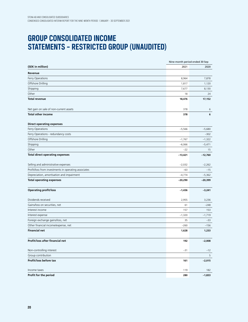# **GROUP CONSOLIDATED INCOME STATEMENTS – RESTRICTED GROUP (UNAUDITED)**

|                                                      | Nine-month period ended 30 Sep |           |
|------------------------------------------------------|--------------------------------|-----------|
| (SEK in million)                                     | 2021                           | 2020      |
| Revenue                                              |                                |           |
| Ferry Operations                                     | 8,964                          | 7,878     |
| Offshore Drilling                                    | 1,817                          | 1,120     |
| Shipping                                             | 7,677                          | 8,130     |
| Other                                                | 18                             | 24        |
| <b>Total revenue</b>                                 | 18,476                         | 17,152    |
| Net gain on sale of non-current assets               | 378                            | 6         |
| <b>Total other income</b>                            | 378                            | 6         |
| <b>Direct operating expenses</b>                     |                                |           |
| Ferry Operations                                     | $-5,566$                       | $-5,680$  |
| Ferry Operations - redundancy costs                  |                                | $-302$    |
| Offshore Drilling                                    | $-1,767$                       | $-1,322$  |
| Shipping                                             | $-6,066$                       | $-5,471$  |
| Other                                                | $-22$                          | 15        |
| <b>Total direct operating expenses</b>               | $-13,421$                      | $-12,760$ |
| Selling and administrative expenses                  | $-2,032$                       | $-2,262$  |
| Profit/loss from investments in operating associates | $-63$                          | $-15$     |
| Depreciation, amortisation and impairment            | $-4,774$                       | $-5,362$  |
| <b>Total operating expenses</b>                      | $-20,290$                      | $-20,399$ |
| <b>Operating profit/loss</b>                         | $-1,436$                       | $-3,241$  |
| Dividends received                                   | 2,955                          | 3,236     |
| Gains/loss on securities, net                        | 61                             | $-248$    |
| Interest income                                      | 157                            | 153       |
| Interest expense                                     | $-1,320$                       | $-1,719$  |
| Foreign exchange gains/loss, net                     | 35                             | -33       |
| Other financial income/expense, net                  | $-260$                         | $-156$    |
| <b>Financial net</b>                                 | 1,628                          | 1,233     |
| Profit/loss after financial net                      | 192                            | $-2,008$  |
| Non-controlling interest                             | $-31$                          | $-12$     |
| Group contribution                                   |                                | 5         |
| Profit/loss before tax                               | 161                            | $-2,015$  |
| Income taxes                                         | 119                            | 182       |
| Profit for the period                                | 280                            | $-1,833$  |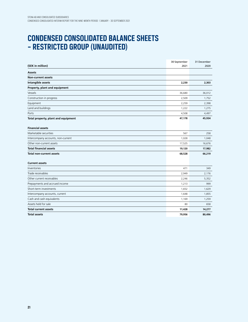## **CONDENSED CONSOLIDATED BALANCE SHEETS – RESTRICTED GROUP (UNAUDITED)**

|                                     | 30 September | 31 December |
|-------------------------------------|--------------|-------------|
| (SEK in million)                    | 2021         | 2020        |
| <b>Assets</b>                       |              |             |
| <b>Non-current assets</b>           |              |             |
| Intangible assets                   | 2,230        | 2,303       |
| Property, plant and equipment       |              |             |
| Vessels                             | 36,680       | 36,012      |
| Construction in progress            | 2,509        | 1,752       |
| Equipment                           | 2,259        | 2,398       |
| Land and buildings                  | 1,222        | 1,275       |
| Ports                               | 4,508        | 4,497       |
| Total property, plant and equipment | 47,178       | 45,934      |
| <b>Financial assets</b>             |              |             |
| Marketable securities               | 567          | 258         |
| Intercompany accounts, non-current  | 1,028        | 1,048       |
| Other non-current assets            | 17,525       | 16,676      |
| <b>Total financial assets</b>       | 19,120       | 17,982      |
| <b>Total non-current assets</b>     | 68,528       | 66,219      |
| <b>Current assets</b>               |              |             |
| Inventories                         | 471          | 349         |
| Trade receivables                   | 2,949        | 2,176       |
| Other current receivables           | 2,246        | 5,352       |
| Prepayments and accrued income      | 1,213        | 999         |
| Short-term investments              | 1,652        | 1,629       |
| Intercompany accounts, current      | 1,648        | 1,855       |
| Cash and cash equivalents           | 1,169        | 1,259       |
| Assets held for sale                | 80           | 658         |
| Total current assets                | 11,428       | 14,277      |
| <b>Total assets</b>                 | 79,956       | 80,496      |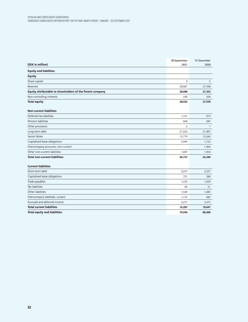| (SEK in million)                                          | 30 September   | 31 December  |
|-----------------------------------------------------------|----------------|--------------|
| <b>Equity and liabilities</b>                             | 2021           | 2020         |
| <b>Equity</b>                                             |                |              |
| Share capital                                             | 5              | 5            |
| Reserves                                                  | 28,681         | 27,348       |
| Equity attributable to shareholders of the Parent company | 28,686         | 27,353       |
| Non-controlling interests                                 | 246            | 206          |
| <b>Total equity</b>                                       | 28,932         | 27,559       |
| <b>Non-current liabilities</b>                            |                |              |
| Deferred tax liabilities                                  | 1,131          | 972          |
| Pension liabilities                                       | 640            | 587          |
| Other provisions                                          | $\overline{2}$ | $\mathbf{1}$ |
| Long-term debt                                            | 21,552         | 21,897       |
| Senior Notes                                              | 12,770         | 13,260       |
| Capitalised lease obligations                             | 2,945          | 1,722        |
| Intercompany accounts, non-current                        |                | 1,904        |
| Other non-current liabilities                             | 1,697          | 1,953        |
| <b>Total non-current liabilities</b>                      | 40,737         | 42,296       |
| <b>Current liabilities</b>                                |                |              |
| Short-term debt                                           | 2,237          | 3,337        |
| Capitalised lease obligations                             | 751            | 586          |
| Trade payables                                            | 1,223          | 1,029        |
| <b>Tax liabilities</b>                                    | 83             | 51           |
| Other liabilities                                         | 1,544          | 1,483        |
| Intercompany liabilities, current                         | 1,172          | 683          |
| Accruals and deferred income                              | 3,277          | 3,472        |
| <b>Total current liabilities</b>                          | 10,287         | 10,641       |
| <b>Total equity and liabilities</b>                       | 79,956         | 80,496       |